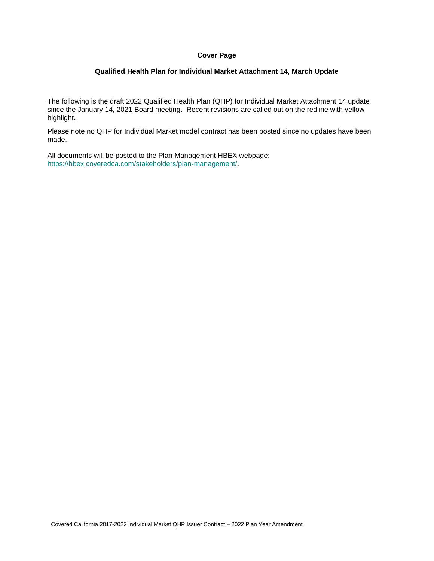#### **Cover Page**

#### **Qualified Health Plan for Individual Market Attachment 14, March Update**

The following is the draft 2022 Qualified Health Plan (QHP) for Individual Market Attachment 14 update since the January 14, 2021 Board meeting. Recent revisions are called out on the redline with yellow highlight.

Please note no QHP for Individual Market model contract has been posted since no updates have been made.

All documents will be posted to the Plan Management HBEX webpage: https://hbex.coveredca.com/stakeholders/plan-management/.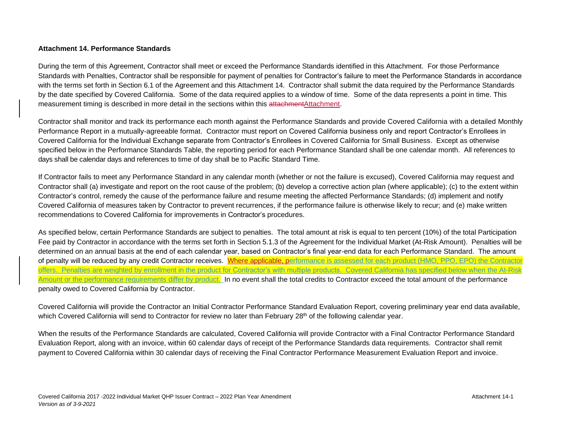#### **Attachment 14. Performance Standards**

During the term of this Agreement, Contractor shall meet or exceed the Performance Standards identified in this Attachment. For those Performance Standards with Penalties, Contractor shall be responsible for payment of penalties for Contractor's failure to meet the Performance Standards in accordance with the terms set forth in Section 6.1 of the Agreement and this Attachment 14. Contractor shall submit the data required by the Performance Standards by the date specified by Covered California. Some of the data required applies to a window of time. Some of the data represents a point in time. This measurement timing is described in more detail in the sections within this attachmentAttachment.

Contractor shall monitor and track its performance each month against the Performance Standards and provide Covered California with a detailed Monthly Performance Report in a mutually-agreeable format. Contractor must report on Covered California business only and report Contractor's Enrollees in Covered California for the Individual Exchange separate from Contractor's Enrollees in Covered California for Small Business. Except as otherwise specified below in the Performance Standards Table, the reporting period for each Performance Standard shall be one calendar month. All references to days shall be calendar days and references to time of day shall be to Pacific Standard Time.

If Contractor fails to meet any Performance Standard in any calendar month (whether or not the failure is excused), Covered California may request and Contractor shall (a) investigate and report on the root cause of the problem; (b) develop a corrective action plan (where applicable); (c) to the extent within Contractor's control, remedy the cause of the performance failure and resume meeting the affected Performance Standards; (d) implement and notify Covered California of measures taken by Contractor to prevent recurrences, if the performance failure is otherwise likely to recur; and (e) make written recommendations to Covered California for improvements in Contractor's procedures.

As specified below, certain Performance Standards are subject to penalties. The total amount at risk is equal to ten percent (10%) of the total Participation Fee paid by Contractor in accordance with the terms set forth in Section 5.1.3 of the Agreement for the Individual Market (At-Risk Amount). Penalties will be determined on an annual basis at the end of each calendar year, based on Contractor's final year-end data for each Performance Standard. The amount of penalty will be reduced by any credit Contractor receives. Where applicable, performance is assessed for each product (HMO, PPO, EPO) the Contractor offers. Penalties are weighted by enrollment in the product for Contractor's with multiple products. Covered California has specified below when the At-Risk Amount or the performance requirements differ by product. In no event shall the total credits to Contractor exceed the total amount of the performance penalty owed to Covered California by Contractor.

Covered California will provide the Contractor an Initial Contractor Performance Standard Evaluation Report, covering preliminary year end data available, which Covered California will send to Contractor for review no later than February 28<sup>th</sup> of the following calendar year.

When the results of the Performance Standards are calculated, Covered California will provide Contractor with a Final Contractor Performance Standard Evaluation Report, along with an invoice, within 60 calendar days of receipt of the Performance Standards data requirements. Contractor shall remit payment to Covered California within 30 calendar days of receiving the Final Contractor Performance Measurement Evaluation Report and invoice.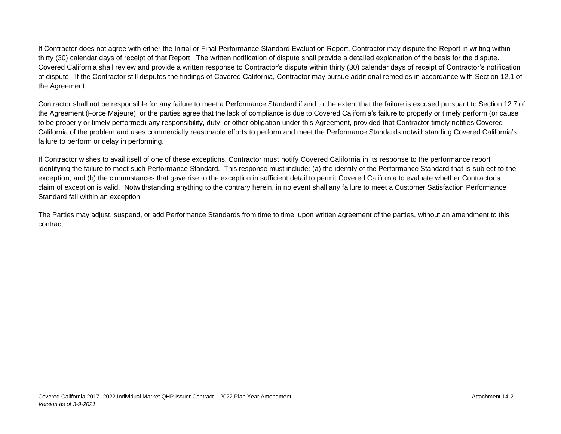If Contractor does not agree with either the Initial or Final Performance Standard Evaluation Report, Contractor may dispute the Report in writing within thirty (30) calendar days of receipt of that Report. The written notification of dispute shall provide a detailed explanation of the basis for the dispute. Covered California shall review and provide a written response to Contractor's dispute within thirty (30) calendar days of receipt of Contractor's notification of dispute. If the Contractor still disputes the findings of Covered California, Contractor may pursue additional remedies in accordance with Section 12.1 of the Agreement.

Contractor shall not be responsible for any failure to meet a Performance Standard if and to the extent that the failure is excused pursuant to Section 12.7 of the Agreement (Force Majeure), or the parties agree that the lack of compliance is due to Covered California's failure to properly or timely perform (or cause to be properly or timely performed) any responsibility, duty, or other obligation under this Agreement, provided that Contractor timely notifies Covered California of the problem and uses commercially reasonable efforts to perform and meet the Performance Standards notwithstanding Covered California's failure to perform or delay in performing.

If Contractor wishes to avail itself of one of these exceptions, Contractor must notify Covered California in its response to the performance report identifying the failure to meet such Performance Standard. This response must include: (a) the identity of the Performance Standard that is subject to the exception, and (b) the circumstances that gave rise to the exception in sufficient detail to permit Covered California to evaluate whether Contractor's claim of exception is valid. Notwithstanding anything to the contrary herein, in no event shall any failure to meet a Customer Satisfaction Performance Standard fall within an exception.

The Parties may adjust, suspend, or add Performance Standards from time to time, upon written agreement of the parties, without an amendment to this contract.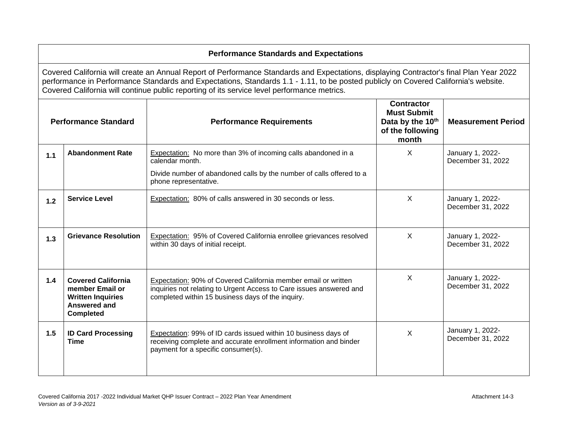# **Performance Standards and Expectations**

Covered California will create an Annual Report of Performance Standards and Expectations, displaying Contractor's final Plan Year 2022 performance in Performance Standards and Expectations, Standards 1.1 - 1.11, to be posted publicly on Covered California's website. Covered California will continue public reporting of its service level performance metrics.

|       | <b>Performance Standard</b>                                                                                  | <b>Performance Requirements</b>                                                                                                                                                            | <b>Contractor</b><br><b>Must Submit</b><br>Data by the 10th<br>of the following<br>month | <b>Measurement Period</b>             |
|-------|--------------------------------------------------------------------------------------------------------------|--------------------------------------------------------------------------------------------------------------------------------------------------------------------------------------------|------------------------------------------------------------------------------------------|---------------------------------------|
| 1.1   | <b>Abandonment Rate</b>                                                                                      | <b>Expectation:</b> No more than 3% of incoming calls abandoned in a<br>calendar month.                                                                                                    | X                                                                                        | January 1, 2022-<br>December 31, 2022 |
|       |                                                                                                              | Divide number of abandoned calls by the number of calls offered to a<br>phone representative.                                                                                              |                                                                                          |                                       |
| $1.2$ | <b>Service Level</b>                                                                                         | Expectation: 80% of calls answered in 30 seconds or less.                                                                                                                                  | X                                                                                        | January 1, 2022-<br>December 31, 2022 |
| 1.3   | <b>Grievance Resolution</b>                                                                                  | <b>Expectation: 95% of Covered California enrollee grievances resolved</b><br>within 30 days of initial receipt.                                                                           | X                                                                                        | January 1, 2022-<br>December 31, 2022 |
| 1.4   | <b>Covered California</b><br>member Email or<br><b>Written Inquiries</b><br>Answered and<br><b>Completed</b> | Expectation: 90% of Covered California member email or written<br>inquiries not relating to Urgent Access to Care issues answered and<br>completed within 15 business days of the inquiry. | $\sf X$                                                                                  | January 1, 2022-<br>December 31, 2022 |
| 1.5   | <b>ID Card Processing</b><br><b>Time</b>                                                                     | Expectation: 99% of ID cards issued within 10 business days of<br>receiving complete and accurate enrollment information and binder<br>payment for a specific consumer(s).                 | $\boldsymbol{\mathsf{X}}$                                                                | January 1, 2022-<br>December 31, 2022 |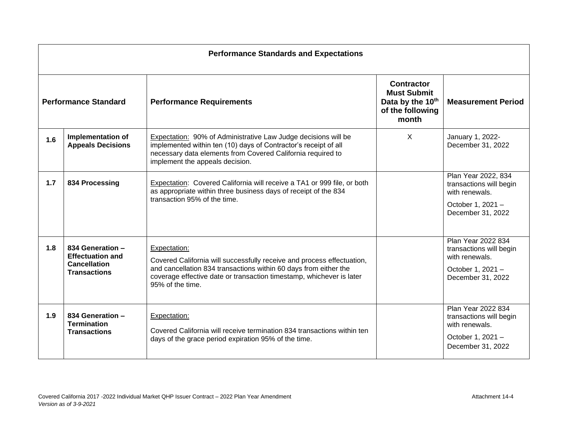|                             |                                                                                           | <b>Performance Standards and Expectations</b>                                                                                                                                                                                                          |                                                                                                      |                                                                                                            |
|-----------------------------|-------------------------------------------------------------------------------------------|--------------------------------------------------------------------------------------------------------------------------------------------------------------------------------------------------------------------------------------------------------|------------------------------------------------------------------------------------------------------|------------------------------------------------------------------------------------------------------------|
| <b>Performance Standard</b> |                                                                                           | <b>Performance Requirements</b>                                                                                                                                                                                                                        | <b>Contractor</b><br><b>Must Submit</b><br>Data by the 10 <sup>th</sup><br>of the following<br>month | <b>Measurement Period</b>                                                                                  |
| 1.6                         | <b>Implementation of</b><br><b>Appeals Decisions</b>                                      | Expectation: 90% of Administrative Law Judge decisions will be<br>implemented within ten (10) days of Contractor's receipt of all<br>necessary data elements from Covered California required to<br>implement the appeals decision.                    | $\times$                                                                                             | January 1, 2022-<br>December 31, 2022                                                                      |
| 1.7                         | 834 Processing                                                                            | Expectation: Covered California will receive a TA1 or 999 file, or both<br>as appropriate within three business days of receipt of the 834<br>transaction 95% of the time.                                                                             |                                                                                                      | Plan Year 2022, 834<br>transactions will begin<br>with renewals.<br>October 1, 2021 -<br>December 31, 2022 |
| 1.8                         | 834 Generation -<br><b>Effectuation and</b><br><b>Cancellation</b><br><b>Transactions</b> | Expectation:<br>Covered California will successfully receive and process effectuation,<br>and cancellation 834 transactions within 60 days from either the<br>coverage effective date or transaction timestamp, whichever is later<br>95% of the time. |                                                                                                      | Plan Year 2022 834<br>transactions will begin<br>with renewals.<br>October 1, 2021 -<br>December 31, 2022  |
| 1.9                         | 834 Generation -<br><b>Termination</b><br><b>Transactions</b>                             | Expectation:<br>Covered California will receive termination 834 transactions within ten<br>days of the grace period expiration 95% of the time.                                                                                                        |                                                                                                      | Plan Year 2022 834<br>transactions will begin<br>with renewals.<br>October 1, 2021 -<br>December 31, 2022  |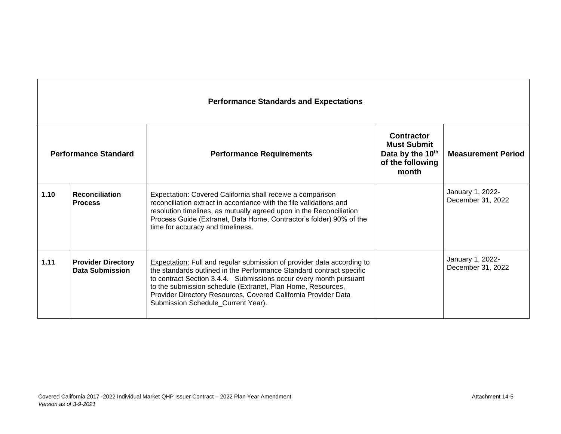|      | <b>Performance Standards and Expectations</b>       |                                                                                                                                                                                                                                                                                                                                                                                                   |                                                                                   |                                       |  |
|------|-----------------------------------------------------|---------------------------------------------------------------------------------------------------------------------------------------------------------------------------------------------------------------------------------------------------------------------------------------------------------------------------------------------------------------------------------------------------|-----------------------------------------------------------------------------------|---------------------------------------|--|
|      | <b>Performance Standard</b>                         | <b>Performance Requirements</b>                                                                                                                                                                                                                                                                                                                                                                   | Contractor<br><b>Must Submit</b><br>Data by the 10th<br>of the following<br>month | <b>Measurement Period</b>             |  |
| 1.10 | <b>Reconciliation</b><br><b>Process</b>             | Expectation: Covered California shall receive a comparison<br>reconciliation extract in accordance with the file validations and<br>resolution timelines, as mutually agreed upon in the Reconciliation<br>Process Guide (Extranet, Data Home, Contractor's folder) 90% of the<br>time for accuracy and timeliness.                                                                               |                                                                                   | January 1, 2022-<br>December 31, 2022 |  |
| 1.11 | <b>Provider Directory</b><br><b>Data Submission</b> | <b>Expectation:</b> Full and regular submission of provider data according to<br>the standards outlined in the Performance Standard contract specific<br>to contract Section 3.4.4. Submissions occur every month pursuant<br>to the submission schedule (Extranet, Plan Home, Resources,<br>Provider Directory Resources, Covered California Provider Data<br>Submission Schedule_Current Year). |                                                                                   | January 1, 2022-<br>December 31, 2022 |  |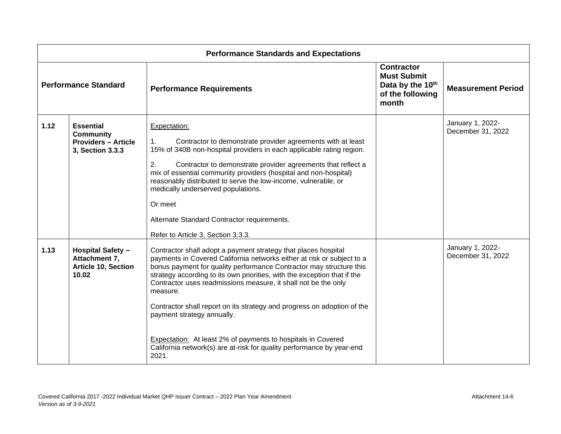|      |                                                                                        | <b>Performance Standards and Expectations</b>                                                                                                                                                                                                                                                                                                                                                                                                                                                                                                                                                                                        |                                                                                          |                                       |
|------|----------------------------------------------------------------------------------------|--------------------------------------------------------------------------------------------------------------------------------------------------------------------------------------------------------------------------------------------------------------------------------------------------------------------------------------------------------------------------------------------------------------------------------------------------------------------------------------------------------------------------------------------------------------------------------------------------------------------------------------|------------------------------------------------------------------------------------------|---------------------------------------|
|      | <b>Performance Standard</b>                                                            | <b>Performance Requirements</b>                                                                                                                                                                                                                                                                                                                                                                                                                                                                                                                                                                                                      | <b>Contractor</b><br><b>Must Submit</b><br>Data by the 10th<br>of the following<br>month | <b>Measurement Period</b>             |
| 1.12 | <b>Essential</b><br><b>Community</b><br><b>Providers - Article</b><br>3, Section 3.3.3 | Expectation:<br>$\mathbf{1}$ .<br>Contractor to demonstrate provider agreements with at least<br>15% of 340B non-hospital providers in each applicable rating region.<br>2.<br>Contractor to demonstrate provider agreements that reflect a<br>mix of essential community providers (hospital and non-hospital)<br>reasonably distributed to serve the low-income, vulnerable, or<br>medically underserved populations.<br>Or meet<br>Alternate Standard Contractor requirements.<br>Refer to Article 3, Section 3.3.3.                                                                                                              |                                                                                          | January 1, 2022-<br>December 31, 2022 |
| 1.13 | <b>Hospital Safety -</b><br>Attachment 7,<br><b>Article 10, Section</b><br>10.02       | Contractor shall adopt a payment strategy that places hospital<br>payments in Covered California networks either at risk or subject to a<br>bonus payment for quality performance Contractor may structure this<br>strategy according to its own priorities, with the exception that if the<br>Contractor uses readmissions measure, it shall not be the only<br>measure.<br>Contractor shall report on its strategy and progress on adoption of the<br>payment strategy annually.<br>Expectation: At least 2% of payments to hospitals in Covered<br>California network(s) are at-risk for quality performance by year-end<br>2021. |                                                                                          | January 1, 2022-<br>December 31, 2022 |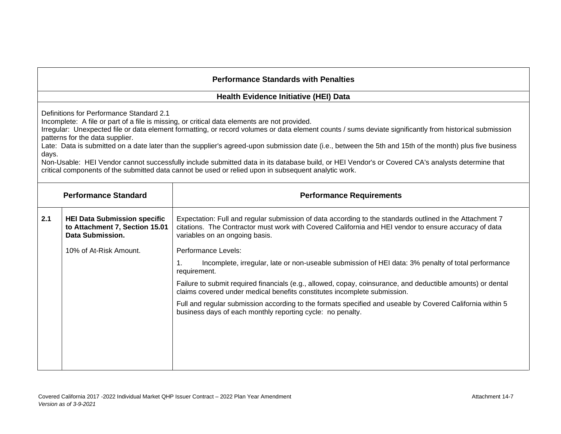#### **Health Evidence Initiative (HEI) Data**

Definitions for Performance Standard 2.1

Incomplete: A file or part of a file is missing, or critical data elements are not provided.

Irregular: Unexpected file or data element formatting, or record volumes or data element counts / sums deviate significantly from historical submission patterns for the data supplier.

Late: Data is submitted on a date later than the supplier's agreed-upon submission date (i.e., between the 5th and 15th of the month) plus five business days.

Non-Usable: HEI Vendor cannot successfully include submitted data in its database build, or HEI Vendor's or Covered CA's analysts determine that critical components of the submitted data cannot be used or relied upon in subsequent analytic work.

|     | <b>Performance Standard</b>                                                               | <b>Performance Requirements</b>                                                                                                                                                                                                                     |
|-----|-------------------------------------------------------------------------------------------|-----------------------------------------------------------------------------------------------------------------------------------------------------------------------------------------------------------------------------------------------------|
| 2.1 | <b>HEI Data Submission specific</b><br>to Attachment 7, Section 15.01<br>Data Submission. | Expectation: Full and regular submission of data according to the standards outlined in the Attachment 7<br>citations. The Contractor must work with Covered California and HEI vendor to ensure accuracy of data<br>variables on an ongoing basis. |
|     | 10% of At-Risk Amount.                                                                    | Performance Levels:                                                                                                                                                                                                                                 |
|     |                                                                                           | Incomplete, irregular, late or non-useable submission of HEI data: 3% penalty of total performance<br>1.<br>requirement.                                                                                                                            |
|     |                                                                                           | Failure to submit required financials (e.g., allowed, copay, coinsurance, and deductible amounts) or dental<br>claims covered under medical benefits constitutes incomplete submission.                                                             |
|     |                                                                                           | Full and regular submission according to the formats specified and useable by Covered California within 5<br>business days of each monthly reporting cycle: no penalty.                                                                             |
|     |                                                                                           |                                                                                                                                                                                                                                                     |
|     |                                                                                           |                                                                                                                                                                                                                                                     |
|     |                                                                                           |                                                                                                                                                                                                                                                     |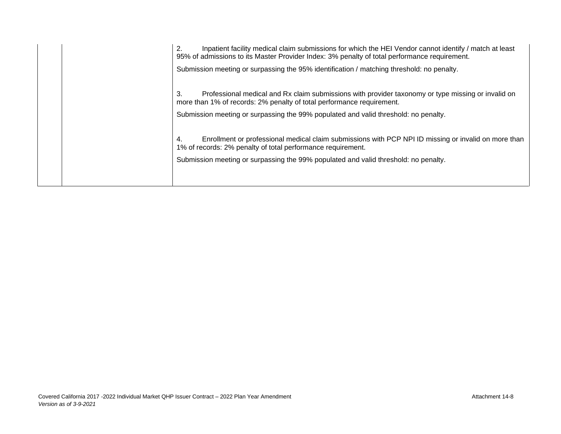2. Inpatient facility medical claim submissions for which the HEI Vendor cannot identify / match at least 95% of admissions to its Master Provider Index: 3% penalty of total performance requirement.

Submission meeting or surpassing the 95% identification / matching threshold: no penalty.

3. Professional medical and Rx claim submissions with provider taxonomy or type missing or invalid on more than 1% of records: 2% penalty of total performance requirement.

Submission meeting or surpassing the 99% populated and valid threshold: no penalty.

4. Enrollment or professional medical claim submissions with PCP NPI ID missing or invalid on more than 1% of records: 2% penalty of total performance requirement.

Submission meeting or surpassing the 99% populated and valid threshold: no penalty.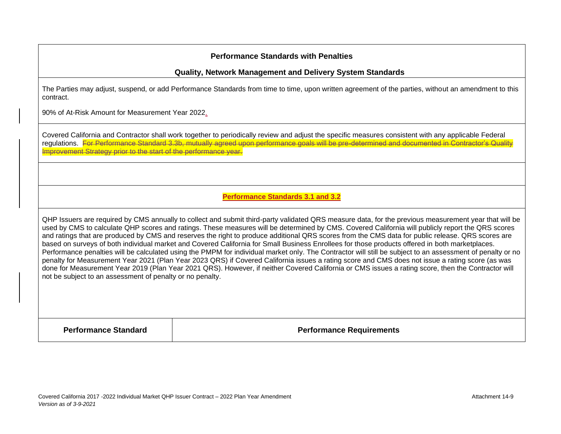#### **Quality, Network Management and Delivery System Standards**

The Parties may adjust, suspend, or add Performance Standards from time to time, upon written agreement of the parties, without an amendment to this contract.

90% of At-Risk Amount for Measurement Year 2022.

Covered California and Contractor shall work together to periodically review and adjust the specific measures consistent with any applicable Federal regulations. For Performance Standard 3.3b, mutually agreed upon performance goals will be pre-determined and documented in Contractor's Quality Improvement Strategy prior to the start of the performance year.

## **Performance Standards 3.1 and 3.2**

QHP Issuers are required by CMS annually to collect and submit third-party validated QRS measure data, for the previous measurement year that will be used by CMS to calculate QHP scores and ratings. These measures will be determined by CMS. Covered California will publicly report the QRS scores and ratings that are produced by CMS and reserves the right to produce additional QRS scores from the CMS data for public release. QRS scores are based on surveys of both individual market and Covered California for Small Business Enrollees for those products offered in both marketplaces. Performance penalties will be calculated using the PMPM for individual market only. The Contractor will still be subject to an assessment of penalty or no penalty for Measurement Year 2021 (Plan Year 2023 QRS) if Covered California issues a rating score and CMS does not issue a rating score (as was done for Measurement Year 2019 (Plan Year 2021 QRS). However, if neither Covered California or CMS issues a rating score, then the Contractor will not be subject to an assessment of penalty or no penalty.

**Performance Standard Performance Requirements**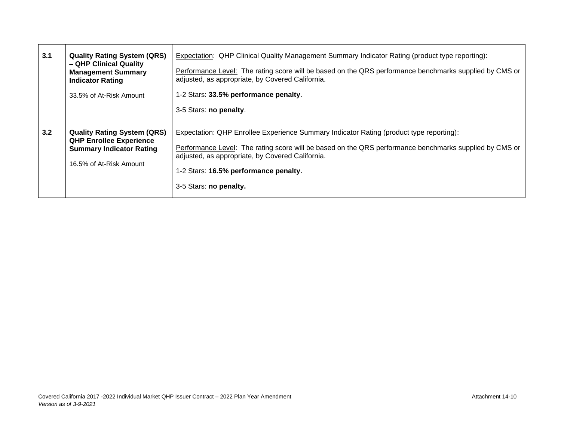| 3.1 | <b>Quality Rating System (QRS)</b><br>- QHP Clinical Quality<br><b>Management Summary</b><br><b>Indicator Rating</b><br>33.5% of At-Risk Amount | <b>Expectation: QHP Clinical Quality Management Summary Indicator Rating (product type reporting):</b><br>Performance Level: The rating score will be based on the QRS performance benchmarks supplied by CMS or<br>adjusted, as appropriate, by Covered California.<br>1-2 Stars: 33.5% performance penalty.<br>3-5 Stars: no penalty. |
|-----|-------------------------------------------------------------------------------------------------------------------------------------------------|-----------------------------------------------------------------------------------------------------------------------------------------------------------------------------------------------------------------------------------------------------------------------------------------------------------------------------------------|
| 3.2 | <b>Quality Rating System (QRS)</b><br><b>QHP Enrollee Experience</b><br><b>Summary Indicator Rating</b><br>16.5% of At-Risk Amount              | <b>Expectation: QHP Enrollee Experience Summary Indicator Rating (product type reporting):</b><br>Performance Level: The rating score will be based on the QRS performance benchmarks supplied by CMS or<br>adjusted, as appropriate, by Covered California.<br>1-2 Stars: 16.5% performance penalty.<br>3-5 Stars: no penalty.         |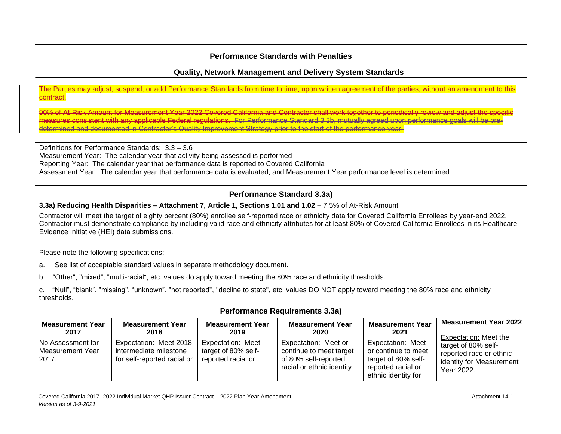# **Quality, Network Management and Delivery System Standards**

#### The Parties may adjust, suspend, or add Performance Standards from time to time, upon written agreement of the parties, without an amendment to this contract.

90% of At-Risk Amount for Measurement Year 2022 Covered California and Contractor shall work together to periodically review and adjust the specific measures consistent with any applicable Federal regulations. For Performance Standard 3.3b, mutually agreed upon performance goals will be predetermined and documented in Contractor's Quality Improvement Strategy prior to the start of the performance year.

Definitions for Performance Standards: 3.3 – 3.6 Measurement Year: The calendar year that activity being assessed is performed Reporting Year: The calendar year that performance data is reported to Covered California Assessment Year: The calendar year that performance data is evaluated, and Measurement Year performance level is determined

# **Performance Standard 3.3a)**

#### **3.3a) Reducing Health Disparities – Attachment 7, Article 1, Sections 1.01 and 1.02 – 7.5% of At-Risk Amount**

Contractor will meet the target of eighty percent (80%) enrollee self-reported race or ethnicity data for Covered California Enrollees by year-end 2022. Contractor must demonstrate compliance by including valid race and ethnicity attributes for at least 80% of Covered California Enrollees in its Healthcare Evidence Initiative (HEI) data submissions.

Please note the following specifications:

a. See list of acceptable standard values in separate methodology document.

b. "Other", "mixed", "multi-racial", etc. values do apply toward meeting the 80% race and ethnicity thresholds.

c. "Null", "blank", "missing", "unknown", "not reported", "decline to state", etc. values DO NOT apply toward meeting the 80% race and ethnicity thresholds.

|                                                |                                                                                 |                                                                | <b>Performance Requirements 3.3a)</b>                                                                |                                                                                                              |                                                                                                                   |
|------------------------------------------------|---------------------------------------------------------------------------------|----------------------------------------------------------------|------------------------------------------------------------------------------------------------------|--------------------------------------------------------------------------------------------------------------|-------------------------------------------------------------------------------------------------------------------|
| <b>Measurement Year</b><br>2017                | <b>Measurement Year</b><br>2018                                                 | <b>Measurement Year</b><br>2019                                | <b>Measurement Year</b><br>2020                                                                      | <b>Measurement Year</b><br>2021                                                                              | <b>Measurement Year 2022</b>                                                                                      |
| No Assessment for<br>Measurement Year<br>2017. | Expectation: Meet 2018<br>intermediate milestone<br>for self-reported racial or | Expectation: Meet<br>target of 80% self-<br>reported racial or | Expectation: Meet or<br>continue to meet target<br>of 80% self-reported<br>racial or ethnic identity | Expectation: Meet<br>or continue to meet<br>target of 80% self-<br>reported racial or<br>ethnic identity for | Expectation: Meet the<br>target of 80% self-<br>reported race or ethnic<br>identity for Measurement<br>Year 2022. |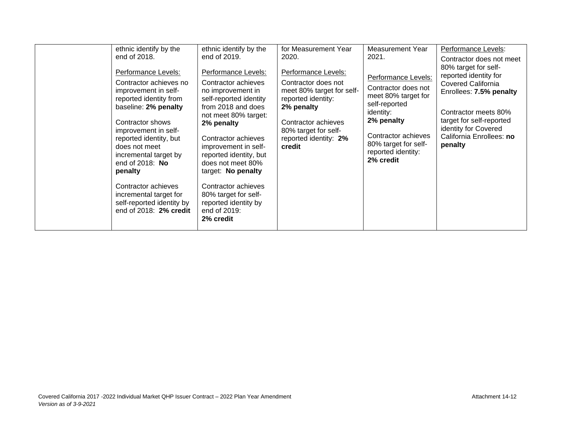|  | ethnic identify by the<br>end of 2018.<br>Performance Levels:<br>Contractor achieves no<br>improvement in self-<br>reported identity from<br>baseline: 2% penalty<br>Contractor shows<br>improvement in self-<br>reported identity, but<br>does not meet<br>incremental target by<br>end of 2018: No<br>penalty<br>Contractor achieves<br>incremental target for<br>self-reported identity by<br>end of 2018: 2% credit | ethnic identify by the<br>end of 2019.<br>Performance Levels:<br>Contractor achieves<br>no improvement in<br>self-reported identity<br>from 2018 and does<br>not meet 80% target:<br>2% penalty<br>Contractor achieves<br>improvement in self-<br>reported identity, but<br>does not meet 80%<br>target: No penalty<br>Contractor achieves<br>80% target for self-<br>reported identity by<br>end of 2019:<br>2% credit | for Measurement Year<br>2020.<br>Performance Levels:<br>Contractor does not<br>meet 80% target for self-<br>reported identity:<br>2% penalty<br>Contractor achieves<br>80% target for self-<br>reported identity: 2%<br>credit | Measurement Year<br>2021.<br>Performance Levels:<br>Contractor does not<br>meet 80% target for<br>self-reported<br>identity:<br>2% penalty<br>Contractor achieves<br>80% target for self-<br>reported identity:<br>2% credit | Performance Levels:<br>Contractor does not meet<br>80% target for self-<br>reported identity for<br>Covered California<br>Enrollees: 7.5% penalty<br>Contractor meets 80%<br>target for self-reported<br>identity for Covered<br>California Enrollees: no<br>penalty |
|--|-------------------------------------------------------------------------------------------------------------------------------------------------------------------------------------------------------------------------------------------------------------------------------------------------------------------------------------------------------------------------------------------------------------------------|-------------------------------------------------------------------------------------------------------------------------------------------------------------------------------------------------------------------------------------------------------------------------------------------------------------------------------------------------------------------------------------------------------------------------|--------------------------------------------------------------------------------------------------------------------------------------------------------------------------------------------------------------------------------|------------------------------------------------------------------------------------------------------------------------------------------------------------------------------------------------------------------------------|----------------------------------------------------------------------------------------------------------------------------------------------------------------------------------------------------------------------------------------------------------------------|
|--|-------------------------------------------------------------------------------------------------------------------------------------------------------------------------------------------------------------------------------------------------------------------------------------------------------------------------------------------------------------------------------------------------------------------------|-------------------------------------------------------------------------------------------------------------------------------------------------------------------------------------------------------------------------------------------------------------------------------------------------------------------------------------------------------------------------------------------------------------------------|--------------------------------------------------------------------------------------------------------------------------------------------------------------------------------------------------------------------------------|------------------------------------------------------------------------------------------------------------------------------------------------------------------------------------------------------------------------------|----------------------------------------------------------------------------------------------------------------------------------------------------------------------------------------------------------------------------------------------------------------------|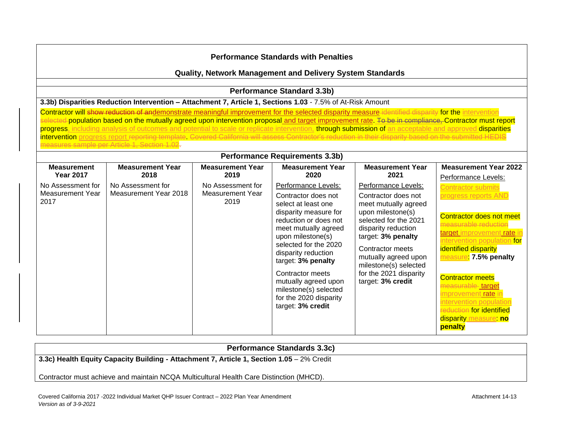#### **Quality, Network Management and Delivery System Standards**

### **Performance Standard 3.3b)**

#### **3.3b) Disparities Reduction Intervention – Attachment 7, Article 1, Sections 1.03** - 7.5% of At-Risk Amount

Contractor will show reduction of andemonstrate meaningful improvement for the selected disparity measure identified disparity for the intervention ed-population based on the mutually agreed upon intervention proposal and target improvement rate. To be in compliance, Contractor must report progress, including analysis of outcomes and potential to scale or replicate intervention, through submission of an acceptable and approved disparities intervention progress report reporting template. Covered California will assess Contractor's reduction in their disparity based on the submitted HEDIS measures sample per Article 1, Section 1.02.

## **Performance Requirements 3.3b)**

| <b>Measurement</b>       | <b>Measurement Year</b> | <b>Measurement Year</b>  | <b>Measurement Year</b>                                                                                                                                                                                                                                                                                                             | <b>Measurement Year</b>                                                                                                                                                                                                                                    | <b>Measurement Year 2022</b>                                                                                                                                                                                                                                                                                                                                  |
|--------------------------|-------------------------|--------------------------|-------------------------------------------------------------------------------------------------------------------------------------------------------------------------------------------------------------------------------------------------------------------------------------------------------------------------------------|------------------------------------------------------------------------------------------------------------------------------------------------------------------------------------------------------------------------------------------------------------|---------------------------------------------------------------------------------------------------------------------------------------------------------------------------------------------------------------------------------------------------------------------------------------------------------------------------------------------------------------|
| <b>Year 2017</b>         | 2018                    | 2019                     | 2020                                                                                                                                                                                                                                                                                                                                | 2021                                                                                                                                                                                                                                                       | Performance Levels:                                                                                                                                                                                                                                                                                                                                           |
| No Assessment for        | No Assessment for       | No Assessment for        | Performance Levels:                                                                                                                                                                                                                                                                                                                 | Performance Levels:                                                                                                                                                                                                                                        | Contractor submits                                                                                                                                                                                                                                                                                                                                            |
| Measurement Year<br>2017 | Measurement Year 2018   | Measurement Year<br>2019 | Contractor does not<br>select at least one<br>disparity measure for<br>reduction or does not<br>meet mutually agreed<br>upon milestone(s)<br>selected for the 2020<br>disparity reduction<br>target: 3% penalty<br>Contractor meets<br>mutually agreed upon<br>milestone(s) selected<br>for the 2020 disparity<br>target: 3% credit | Contractor does not<br>meet mutually agreed<br>upon milestone(s)<br>selected for the 2021<br>disparity reduction<br>target: 3% penalty<br>Contractor meets<br>mutually agreed upon<br>milestone(s) selected<br>for the 2021 disparity<br>target: 3% credit | progress reports AND<br><b>Contractor does not meet</b><br>easurable reduction<br>target improvement rate in<br>intervention population for<br>identified disparity<br>measure: 7.5% penalty<br><b>Contractor meets</b><br>measurable target<br>improvement rate i<br>intervention population<br>reduction for identified<br>disparity measure: no<br>penalty |

#### **Performance Standards 3.3c)**

**3.3c) Health Equity Capacity Building - Attachment 7, Article 1, Section 1.05** – 2% Credit

Contractor must achieve and maintain NCQA Multicultural Health Care Distinction (MHCD).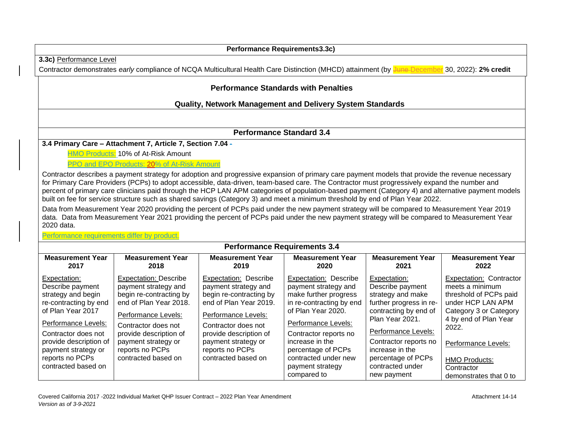#### **Performance Requirements3.3c) 3.3c)** Performance Level Contractor demonstrates *early* compliance of NCQA Multicultural Health Care Distinction (MHCD) attainment (by June December 30, 2022): 2% credit **Performance Standards with Penalties Quality, Network Management and Delivery System Standards Performance Standard 3.4 3.4 Primary Care – Attachment 7, Article 7, Section 7.04 -** HMO Products: 10% of At-Risk Amount PPO and EPO Products: 20% of At-Risk Amount Contractor describes a payment strategy for adoption and progressive expansion of primary care payment models that provide the revenue necessary for Primary Care Providers (PCPs) to adopt accessible, data-driven, team-based care. The Contractor must progressively expand the number and percent of primary care clinicians paid through the HCP LAN APM categories of population-based payment (Category 4) and alternative payment models built on fee for service structure such as shared savings (Category 3) and meet a minimum threshold by end of Plan Year 2022. Data from Measurement Year 2020 providing the percent of PCPs paid under the new payment strategy will be compared to Measurement Year 2019 data. Data from Measurement Year 2021 providing the percent of PCPs paid under the new payment strategy will be compared to Measurement Year 2020 data. Performance requirements differ by product. **Performance Requirements 3.4 Measurement Year 2017** Expectation: Describe payment strategy and begin re-contracting by end of Plan Year 2017 Performance Levels: Contractor does not provide description of payment strategy or reports no PCPs contracted based on **Measurement Year 2018** Expectation: Describe payment strategy and begin re-contracting by end of Plan Year 2018. Performance Levels: Contractor does not provide description of payment strategy or reports no PCPs contracted based on **Measurement Year 2019** Expectation: Describe payment strategy and begin re-contracting by end of Plan Year 2019. Performance Levels: Contractor does not provide description of payment strategy or reports no PCPs contracted based on **Measurement Year 2020** Expectation: Describe payment strategy and make further progress in re-contracting by end of Plan Year 2020. Performance Levels: Contractor reports no increase in the percentage of PCPs contracted under new payment strategy compared to **Measurement Year 2021** Expectation: Describe payment strategy and make further progress in recontracting by end of Plan Year 2021. Performance Levels: Contractor reports no increase in the percentage of PCPs contracted under new payment **Measurement Year 2022** Expectation: Contractor meets a minimum threshold of PCPs paid under HCP LAN APM Category 3 or Category 4 by end of Plan Year 2022. Performance Levels: HMO Products: **Contractor** demonstrates that 0 to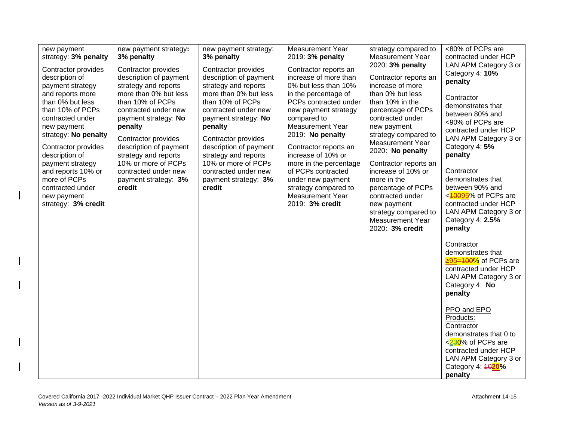| new payment<br>strategy: 3% penalty<br>Contractor provides<br>description of                                                                                                                                                                                                                         | new payment strategy:<br>3% penalty<br>Contractor provides<br>description of payment                                                                                                                                                                                                   | new payment strategy:<br>3% penalty<br>Contractor provides<br>description of payment                                                                                                                                                                                                   | <b>Measurement Year</b><br>2019: 3% penalty<br>Contractor reports an<br>increase of more than                                                                                                                                                                                                                                                         | strategy compared to<br><b>Measurement Year</b><br>2020: 3% penalty<br>Contractor reports an                                                                                                                                                                                                                                                                                  | <80% of PCPs are<br>contracted under HCP<br>LAN APM Category 3 or<br>Category 4: 10%                                                                                                                                                                                                                                         |
|------------------------------------------------------------------------------------------------------------------------------------------------------------------------------------------------------------------------------------------------------------------------------------------------------|----------------------------------------------------------------------------------------------------------------------------------------------------------------------------------------------------------------------------------------------------------------------------------------|----------------------------------------------------------------------------------------------------------------------------------------------------------------------------------------------------------------------------------------------------------------------------------------|-------------------------------------------------------------------------------------------------------------------------------------------------------------------------------------------------------------------------------------------------------------------------------------------------------------------------------------------------------|-------------------------------------------------------------------------------------------------------------------------------------------------------------------------------------------------------------------------------------------------------------------------------------------------------------------------------------------------------------------------------|------------------------------------------------------------------------------------------------------------------------------------------------------------------------------------------------------------------------------------------------------------------------------------------------------------------------------|
| payment strategy<br>and reports more<br>than 0% but less<br>than 10% of PCPs<br>contracted under<br>new payment<br>strategy: No penalty<br>Contractor provides<br>description of<br>payment strategy<br>and reports 10% or<br>more of PCPs<br>contracted under<br>new payment<br>strategy: 3% credit | strategy and reports<br>more than 0% but less<br>than 10% of PCPs<br>contracted under new<br>payment strategy: No<br>penalty<br>Contractor provides<br>description of payment<br>strategy and reports<br>10% or more of PCPs<br>contracted under new<br>payment strategy: 3%<br>credit | strategy and reports<br>more than 0% but less<br>than 10% of PCPs<br>contracted under new<br>payment strategy: No<br>penalty<br>Contractor provides<br>description of payment<br>strategy and reports<br>10% or more of PCPs<br>contracted under new<br>payment strategy: 3%<br>credit | 0% but less than 10%<br>in the percentage of<br>PCPs contracted under<br>new payment strategy<br>compared to<br><b>Measurement Year</b><br>2019: No penalty<br>Contractor reports an<br>increase of 10% or<br>more in the percentage<br>of PCPs contracted<br>under new payment<br>strategy compared to<br><b>Measurement Year</b><br>2019: 3% credit | increase of more<br>than 0% but less<br>than 10% in the<br>percentage of PCPs<br>contracted under<br>new payment<br>strategy compared to<br><b>Measurement Year</b><br>2020: No penalty<br>Contractor reports an<br>increase of 10% or<br>more in the<br>percentage of PCPs<br>contracted under<br>new payment<br>strategy compared to<br>Measurement Year<br>2020: 3% credit | penalty<br>Contractor<br>demonstrates that<br>between 80% and<br><90% of PCPs are<br>contracted under HCP<br>LAN APM Category 3 or<br>Category 4: 5%<br>penalty<br>Contractor<br>demonstrates that<br>between 90% and<br><40095% of PCPs are<br>contracted under HCP<br>LAN APM Category 3 or<br>Category 4: 2.5%<br>penalty |
|                                                                                                                                                                                                                                                                                                      |                                                                                                                                                                                                                                                                                        |                                                                                                                                                                                                                                                                                        |                                                                                                                                                                                                                                                                                                                                                       |                                                                                                                                                                                                                                                                                                                                                                               | Contractor<br>demonstrates that<br>$\geq 95 = 100\%$ of PCPs are<br>contracted under HCP<br>LAN APM Category 3 or<br>Category 4: - No<br>penalty                                                                                                                                                                             |
|                                                                                                                                                                                                                                                                                                      |                                                                                                                                                                                                                                                                                        |                                                                                                                                                                                                                                                                                        |                                                                                                                                                                                                                                                                                                                                                       |                                                                                                                                                                                                                                                                                                                                                                               | PPO and EPO<br>Products:<br>Contractor<br>demonstrates that 0 to<br><230% of PCPs are<br>contracted under HCP<br>LAN APM Category 3 or<br>Category 4: 4020%<br>penalty                                                                                                                                                       |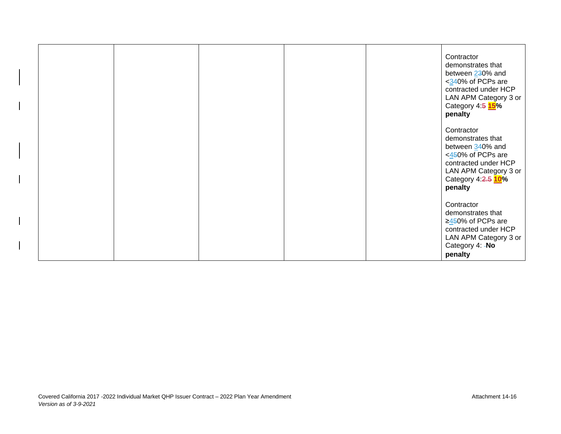|  |  | Contractor<br>demonstrates that<br>between 230% and<br><340% of PCPs are<br>contracted under HCP<br>LAN APM Category 3 or<br>Category 4:5 15%<br>penalty   |
|--|--|------------------------------------------------------------------------------------------------------------------------------------------------------------|
|  |  | Contractor<br>demonstrates that<br>between 340% and<br><450% of PCPs are<br>contracted under HCP<br>LAN APM Category 3 or<br>Category 4:2.5 10%<br>penalty |
|  |  | Contractor<br>demonstrates that<br>$\geq$ 450% of PCPs are<br>contracted under HCP<br>LAN APM Category 3 or<br>Category 4: - No<br>penalty                 |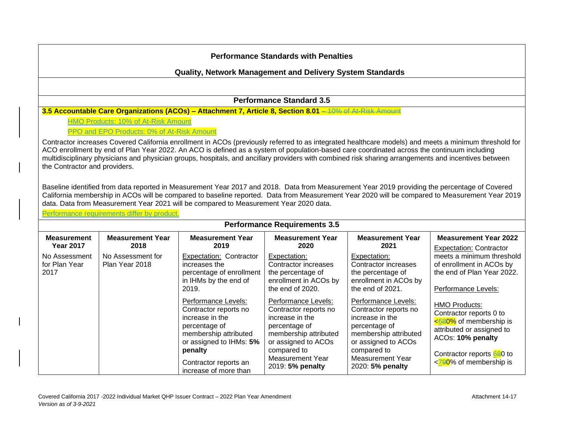|                                        |                                             |                                                                                                                                                                                                                                                                                                 | <b>Performance Standards with Penalties</b>                                                            |                                                                                                        |                                                                                                                                                                              |
|----------------------------------------|---------------------------------------------|-------------------------------------------------------------------------------------------------------------------------------------------------------------------------------------------------------------------------------------------------------------------------------------------------|--------------------------------------------------------------------------------------------------------|--------------------------------------------------------------------------------------------------------|------------------------------------------------------------------------------------------------------------------------------------------------------------------------------|
|                                        |                                             | <b>Quality, Network Management and Delivery System Standards</b>                                                                                                                                                                                                                                |                                                                                                        |                                                                                                        |                                                                                                                                                                              |
|                                        |                                             |                                                                                                                                                                                                                                                                                                 | <b>Performance Standard 3.5</b>                                                                        |                                                                                                        |                                                                                                                                                                              |
|                                        |                                             | 3.5 Accountable Care Organizations (ACOs) - Attachment 7, Article 8, Section 8.01 - 10% of At Risk Amount                                                                                                                                                                                       |                                                                                                        |                                                                                                        |                                                                                                                                                                              |
|                                        | HMO Products: 10% of At-Risk Amount         |                                                                                                                                                                                                                                                                                                 |                                                                                                        |                                                                                                        |                                                                                                                                                                              |
|                                        | PPO and EPO Products: 0% of At-Risk Amount  |                                                                                                                                                                                                                                                                                                 |                                                                                                        |                                                                                                        |                                                                                                                                                                              |
|                                        |                                             | Baseline identified from data reported in Measurement Year 2017 and 2018. Data from Measurement Year 2019 providing the percentage of Covered<br>California membership in ACOs will be compared to baseline reported. Data from Measurement Year 2020 will be compared to Measurement Year 2019 |                                                                                                        |                                                                                                        |                                                                                                                                                                              |
|                                        |                                             | data. Data from Measurement Year 2021 will be compared to Measurement Year 2020 data.                                                                                                                                                                                                           |                                                                                                        |                                                                                                        |                                                                                                                                                                              |
|                                        | Performance requirements differ by product. |                                                                                                                                                                                                                                                                                                 | <b>Performance Requirements 3.5</b>                                                                    |                                                                                                        |                                                                                                                                                                              |
| <b>Measurement</b><br><b>Year 2017</b> | <b>Measurement Year</b><br>2018             | <b>Measurement Year</b><br>2019                                                                                                                                                                                                                                                                 | <b>Measurement Year</b><br>2020                                                                        | <b>Measurement Year</b><br>2021                                                                        |                                                                                                                                                                              |
| No Assessment<br>for Plan Year<br>2017 | No Assessment for<br>Plan Year 2018         | <b>Expectation: Contractor</b><br>increases the<br>percentage of enrollment<br>in IHMs by the end of<br>2019.                                                                                                                                                                                   | Expectation:<br>Contractor increases<br>the percentage of<br>enrollment in ACOs by<br>the end of 2020. | Expectation:<br>Contractor increases<br>the percentage of<br>enrollment in ACOs by<br>the end of 2021. | <b>Measurement Year 2022</b><br><b>Expectation: Contractor</b><br>meets a minimum threshold<br>of enrollment in ACOs by<br>the end of Plan Year 2022.<br>Performance Levels: |

2019: **5% penalty**

2020: **5% penalty**

increase of more than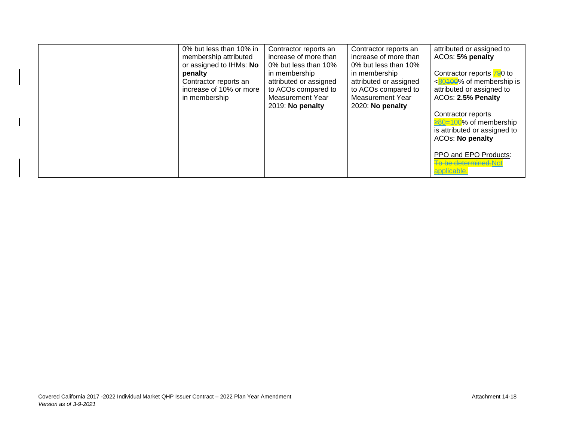|  | 0% but less than 10% in<br>membership attributed<br>or assigned to IHMs: No<br>penalty<br>Contractor reports an<br>increase of 10% or more<br>in membership | Contractor reports an<br>increase of more than<br>0% but less than 10%<br>in membership<br>attributed or assigned<br>to ACOs compared to<br><b>Measurement Year</b><br>2019: No penalty | Contractor reports an<br>increase of more than<br>0% but less than 10%<br>in membership<br>attributed or assigned<br>to ACOs compared to<br><b>Measurement Year</b><br>2020: No penalty | attributed or assigned to<br>ACOs: 5% penalty<br>Contractor reports 790 to<br>$<80400$ % of membership is<br>attributed or assigned to<br>ACOs: 2.5% Penalty<br>Contractor reports<br>≥80=100% of membership<br>is attributed or assigned to<br><b>ACOs: No penalty</b><br>PPO and EPO Products:<br><b>To be determined. Not</b><br>applicable. |
|--|-------------------------------------------------------------------------------------------------------------------------------------------------------------|-----------------------------------------------------------------------------------------------------------------------------------------------------------------------------------------|-----------------------------------------------------------------------------------------------------------------------------------------------------------------------------------------|-------------------------------------------------------------------------------------------------------------------------------------------------------------------------------------------------------------------------------------------------------------------------------------------------------------------------------------------------|
|--|-------------------------------------------------------------------------------------------------------------------------------------------------------------|-----------------------------------------------------------------------------------------------------------------------------------------------------------------------------------------|-----------------------------------------------------------------------------------------------------------------------------------------------------------------------------------------|-------------------------------------------------------------------------------------------------------------------------------------------------------------------------------------------------------------------------------------------------------------------------------------------------------------------------------------------------|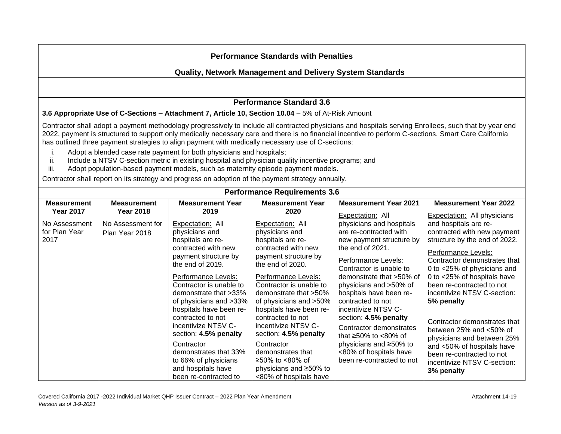## **Quality, Network Management and Delivery System Standards**

## **Performance Standard 3.6**

#### **3.6 Appropriate Use of C-Sections – Attachment 7, Article 10, Section 10.04** – 5% of At-Risk Amount

Contractor shall adopt a payment methodology progressively to include all contracted physicians and hospitals serving Enrollees, such that by year end 2022, payment is structured to support only medically necessary care and there is no financial incentive to perform C-sections. Smart Care California has outlined three payment strategies to align payment with medically necessary use of C-sections:

- i. Adopt a blended case rate payment for both physicians and hospitals;
- ii. Include a NTSV C-section metric in existing hospital and physician quality incentive programs; and
- iii. Adopt population-based payment models, such as maternity episode payment models.

Contractor shall report on its strategy and progress on adoption of the payment strategy annually.

| <b>Performance Requirements 3.6</b> |                    |                         |                         |                              |                                    |  |
|-------------------------------------|--------------------|-------------------------|-------------------------|------------------------------|------------------------------------|--|
| <b>Measurement</b>                  | <b>Measurement</b> | <b>Measurement Year</b> | <b>Measurement Year</b> | <b>Measurement Year 2021</b> | <b>Measurement Year 2022</b>       |  |
| <b>Year 2017</b>                    | <b>Year 2018</b>   | 2019                    | 2020                    | Expectation: All             | <b>Expectation:</b> All physicians |  |
| No Assessment                       | No Assessment for  | Expectation: All        | Expectation: All        | physicians and hospitals     | and hospitals are re-              |  |
| for Plan Year                       | Plan Year 2018     | physicians and          | physicians and          | are re-contracted with       | contracted with new payment        |  |
| 2017                                |                    | hospitals are re-       | hospitals are re-       | new payment structure by     | structure by the end of 2022.      |  |
|                                     |                    | contracted with new     | contracted with new     | the end of 2021.             | Performance Levels:                |  |
|                                     |                    | payment structure by    | payment structure by    | Performance Levels:          | Contractor demonstrates that       |  |
|                                     |                    | the end of 2019.        | the end of 2020.        | Contractor is unable to      | 0 to <25% of physicians and        |  |
|                                     |                    | Performance Levels:     | Performance Levels:     | demonstrate that >50% of     | 0 to <25% of hospitals have        |  |
|                                     |                    | Contractor is unable to | Contractor is unable to | physicians and >50% of       | been re-contracted to not          |  |
|                                     |                    | demonstrate that >33%   | demonstrate that >50%   | hospitals have been re-      | incentivize NTSV C-section:        |  |
|                                     |                    | of physicians and >33%  | of physicians and >50%  | contracted to not            | 5% penalty                         |  |
|                                     |                    | hospitals have been re- | hospitals have been re- | incentivize NTSV C-          |                                    |  |
|                                     |                    | contracted to not       | contracted to not       | section: 4.5% penalty        | Contractor demonstrates that       |  |
|                                     |                    | incentivize NTSV C-     | incentivize NTSV C-     | Contractor demonstrates      | between $25%$ and $<50%$ of        |  |
|                                     |                    | section: 4.5% penalty   | section: 4.5% penalty   | that $\geq 50\%$ to <80% of  | physicians and between 25%         |  |
|                                     |                    | Contractor              | Contractor              | physicians and ≥50% to       | and <50% of hospitals have         |  |
|                                     |                    | demonstrates that 33%   | demonstrates that       | <80% of hospitals have       | been re-contracted to not          |  |
|                                     |                    | to 66% of physicians    | ≥50% to <80% of         | been re-contracted to not    | incentivize NTSV C-section:        |  |
|                                     |                    | and hospitals have      | physicians and ≥50% to  |                              | 3% penalty                         |  |
|                                     |                    | been re-contracted to   | <80% of hospitals have  |                              |                                    |  |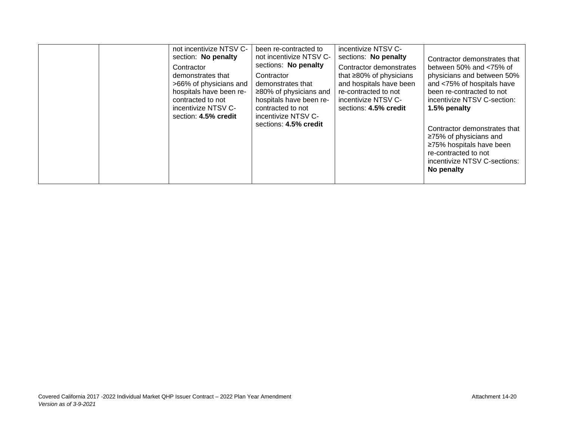|  | not incentivize NTSV C-<br>section: No penalty<br>Contractor<br>demonstrates that<br>>66% of physicians and<br>hospitals have been re-<br>contracted to not<br>incentivize NTSV C-<br>section: 4.5% credit | been re-contracted to<br>not incentivize NTSV C-<br>sections: No penalty<br>Contractor<br>demonstrates that<br>$\geq$ 80% of physicians and<br>hospitals have been re-<br>contracted to not<br>incentivize NTSV C-<br>sections: 4.5% credit | incentivize NTSV C-<br>sections: No penalty<br>Contractor demonstrates<br>that $\geq 80\%$ of physicians<br>and hospitals have been<br>re-contracted to not<br>incentivize NTSV C-<br>sections: 4.5% credit | Contractor demonstrates that<br>between 50% and $<$ 75% of<br>physicians and between 50%<br>and <75% of hospitals have<br>been re-contracted to not<br>incentivize NTSV C-section:<br>1.5% penalty<br>Contractor demonstrates that<br>≥75% of physicians and<br>≥75% hospitals have been<br>re-contracted to not<br>incentivize NTSV C-sections:<br>No penalty |
|--|------------------------------------------------------------------------------------------------------------------------------------------------------------------------------------------------------------|---------------------------------------------------------------------------------------------------------------------------------------------------------------------------------------------------------------------------------------------|-------------------------------------------------------------------------------------------------------------------------------------------------------------------------------------------------------------|----------------------------------------------------------------------------------------------------------------------------------------------------------------------------------------------------------------------------------------------------------------------------------------------------------------------------------------------------------------|
|--|------------------------------------------------------------------------------------------------------------------------------------------------------------------------------------------------------------|---------------------------------------------------------------------------------------------------------------------------------------------------------------------------------------------------------------------------------------------|-------------------------------------------------------------------------------------------------------------------------------------------------------------------------------------------------------------|----------------------------------------------------------------------------------------------------------------------------------------------------------------------------------------------------------------------------------------------------------------------------------------------------------------------------------------------------------------|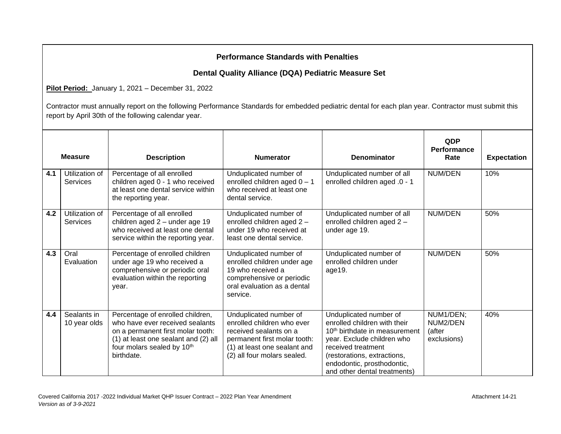## **Dental Quality Alliance (DQA) Pediatric Measure Set**

**Pilot Period:** January 1, 2021 – December 31, 2022

|     | <b>Measure</b>              | <b>Description</b>                                                                                                                                                                           | <b>Numerator</b>                                                                                                                                                              | <b>Denominator</b>                                                                                                                                                                                                                                   | <b>QDP</b><br><b>Performance</b><br>Rate       | <b>Expectation</b> |
|-----|-----------------------------|----------------------------------------------------------------------------------------------------------------------------------------------------------------------------------------------|-------------------------------------------------------------------------------------------------------------------------------------------------------------------------------|------------------------------------------------------------------------------------------------------------------------------------------------------------------------------------------------------------------------------------------------------|------------------------------------------------|--------------------|
| 4.1 | Utilization of<br>Services  | Percentage of all enrolled<br>children aged 0 - 1 who received<br>at least one dental service within<br>the reporting year.                                                                  | Unduplicated number of<br>enrolled children aged $0 - 1$<br>who received at least one<br>dental service.                                                                      | Unduplicated number of all<br>enrolled children aged .0 - 1                                                                                                                                                                                          | NUM/DEN                                        | 10%                |
| 4.2 | Utilization of<br>Services  | Percentage of all enrolled<br>children aged 2 - under age 19<br>who received at least one dental<br>service within the reporting year.                                                       | Unduplicated number of<br>enrolled children aged 2 -<br>under 19 who received at<br>least one dental service.                                                                 | Unduplicated number of all<br>enrolled children aged 2 -<br>under age 19.                                                                                                                                                                            | <b>NUM/DEN</b>                                 | 50%                |
| 4.3 | Oral<br>Evaluation          | Percentage of enrolled children<br>under age 19 who received a<br>comprehensive or periodic oral<br>evaluation within the reporting<br>year.                                                 | Unduplicated number of<br>enrolled children under age<br>19 who received a<br>comprehensive or periodic<br>oral evaluation as a dental<br>service.                            | Unduplicated number of<br>enrolled children under<br>age19.                                                                                                                                                                                          | <b>NUM/DEN</b>                                 | 50%                |
| 4.4 | Sealants in<br>10 year olds | Percentage of enrolled children,<br>who have ever received sealants<br>on a permanent first molar tooth:<br>(1) at least one sealant and (2) all<br>four molars sealed by 10th<br>birthdate. | Unduplicated number of<br>enrolled children who ever<br>received sealants on a<br>permanent first molar tooth:<br>(1) at least one sealant and<br>(2) all four molars sealed. | Unduplicated number of<br>enrolled children with their<br>10 <sup>th</sup> birthdate in measurement<br>year. Exclude children who<br>received treatment<br>(restorations, extractions,<br>endodontic, prosthodontic,<br>and other dental treatments) | NUM1/DEN;<br>NUM2/DEN<br>(after<br>exclusions) | 40%                |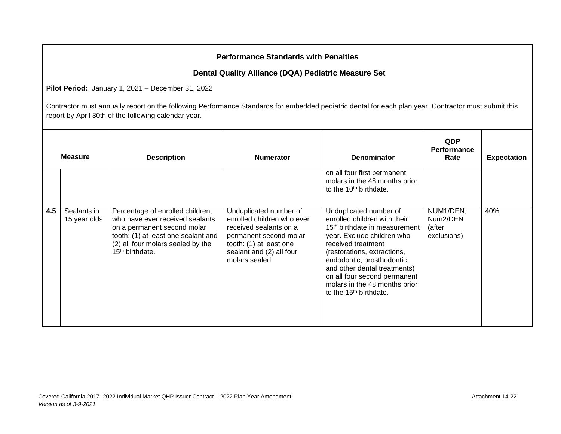## **Dental Quality Alliance (DQA) Pediatric Measure Set**

**Pilot Period:** January 1, 2021 – December 31, 2022

|     | <b>Measure</b>              | <b>Description</b>                                                                                                                                                                                  | <b>Numerator</b>                                                                                                                                                                  | <b>Denominator</b>                                                                                                                                                                                                                                                                                                                                          | <b>QDP</b><br><b>Performance</b><br>Rate       | <b>Expectation</b> |
|-----|-----------------------------|-----------------------------------------------------------------------------------------------------------------------------------------------------------------------------------------------------|-----------------------------------------------------------------------------------------------------------------------------------------------------------------------------------|-------------------------------------------------------------------------------------------------------------------------------------------------------------------------------------------------------------------------------------------------------------------------------------------------------------------------------------------------------------|------------------------------------------------|--------------------|
|     |                             |                                                                                                                                                                                                     |                                                                                                                                                                                   | on all four first permanent<br>molars in the 48 months prior<br>to the 10 <sup>th</sup> birthdate.                                                                                                                                                                                                                                                          |                                                |                    |
| 4.5 | Sealants in<br>15 year olds | Percentage of enrolled children,<br>who have ever received sealants<br>on a permanent second molar<br>tooth: (1) at least one sealant and<br>(2) all four molars sealed by the<br>$15th$ birthdate. | Unduplicated number of<br>enrolled children who ever<br>received sealants on a<br>permanent second molar<br>tooth: (1) at least one<br>sealant and (2) all four<br>molars sealed. | Unduplicated number of<br>enrolled children with their<br>15 <sup>th</sup> birthdate in measurement<br>year. Exclude children who<br>received treatment<br>(restorations, extractions,<br>endodontic, prosthodontic,<br>and other dental treatments)<br>on all four second permanent<br>molars in the 48 months prior<br>to the 15 <sup>th</sup> birthdate. | NUM1/DEN;<br>Num2/DEN<br>(after<br>exclusions) | 40%                |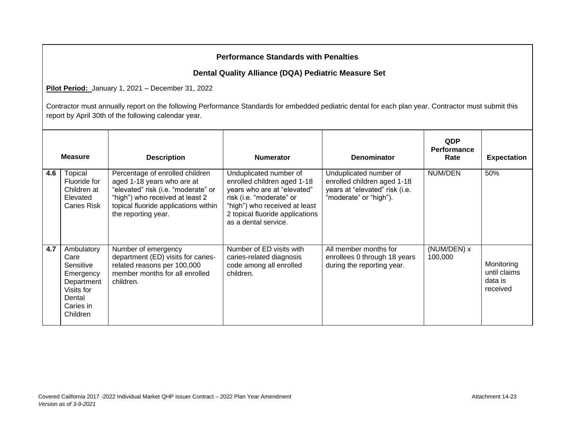## **Dental Quality Alliance (DQA) Pediatric Measure Set**

**Pilot Period:** January 1, 2021 – December 31, 2022

|     | <b>Measure</b>                                                                                              | <b>Description</b>                                                                                                                                                                                     | <b>Numerator</b>                                                                                                                                                                                             | <b>Denominator</b>                                                                                                | <b>QDP</b><br><b>Performance</b><br>Rate | <b>Expectation</b>                                |
|-----|-------------------------------------------------------------------------------------------------------------|--------------------------------------------------------------------------------------------------------------------------------------------------------------------------------------------------------|--------------------------------------------------------------------------------------------------------------------------------------------------------------------------------------------------------------|-------------------------------------------------------------------------------------------------------------------|------------------------------------------|---------------------------------------------------|
| 4.6 | <b>Topical</b><br>Fluoride for<br>Children at<br>Elevated<br><b>Caries Risk</b>                             | Percentage of enrolled children<br>aged 1-18 years who are at<br>"elevated" risk (i.e. "moderate" or<br>"high") who received at least 2<br>topical fluoride applications within<br>the reporting year. | Unduplicated number of<br>enrolled children aged 1-18<br>years who are at "elevated"<br>risk (i.e. "moderate" or<br>"high") who received at least<br>2 topical fluoride applications<br>as a dental service. | Unduplicated number of<br>enrolled children aged 1-18<br>years at "elevated" risk (i.e.<br>"moderate" or "high"). | NUM/DEN                                  | 50%                                               |
| 4.7 | Ambulatory<br>Care<br>Sensitive<br>Emergency<br>Department<br>Visits for<br>Dental<br>Caries in<br>Children | Number of emergency<br>department (ED) visits for caries-<br>related reasons per 100,000<br>member months for all enrolled<br>children.                                                                | Number of ED visits with<br>caries-related diagnosis<br>code among all enrolled<br>children.                                                                                                                 | All member months for<br>enrollees 0 through 18 years<br>during the reporting year.                               | (NUM/DEN) x<br>100,000                   | Monitoring<br>until claims<br>data is<br>received |